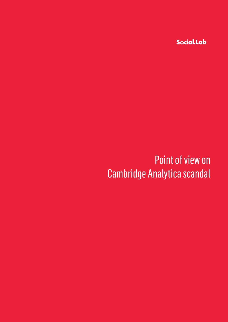Social.Lab

# Point of view on Cambridge Analytica scandal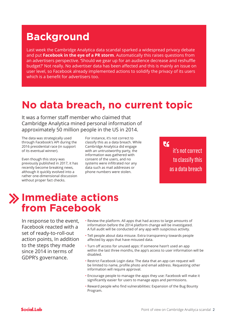### **Background**

Last week the Cambridge Analytica data scandal sparked a widespread privacy debate and put **Facebook in the eye of a PR storm**. Automatically this raises questions from an advertisers perspective. 'Should we gear up for an audience decrease and reshuffle budget?' Not really. No advertiser data has been affected and this is mainly an issue on user level, so Facebook already implemented actions to solidify the privacy of its users which is a benefit for advertisers too.

#### **No data breach, no current topic**

It was a former staff member who claimed that Cambridge Analytica mined personal information of approximately 50 million people in the US in 2014.

The data was strategically used through Facebook's API during the 2016 presidential race (in support of its eventual winner).

Even though this story was previously published in 2017, it has recently become breaking news, although it quickly evolved into a rather one-dimensional discussion without proper fact checks.

For instance, it's not correct to classify this as a data breach. While Cambridge Analytica did engage with an untrustworthy party, the information was gathered with consent of the users, and no systems were infiltrated nor any data such as mail addresses or phone numbers were stolen.

 $\mathsf{C}$ it's not correct to classify this as a data breach

#### **Immediate actions from Facebook**

In response to the event, Facebook reacted with a set of ready-to-roll-out action points, In addition to the steps they made since 2014 in terms of GDPR's governance.

- Review the platform. All apps that had access to large amounts of information before the 2014 platform change will be investigated. A full audit will be conducted of any app with suspicious activity.
- Tell people about data misuse. Extra transparency towards people affected by apps that have misused data.
- Turn off access for unused apps: If someone hasn't used an app within the last three months, the app's access to user information will be disabled.
- Restrict Facebook Login data: The data that an app can request will be limited to name, profile photo and email address. Requesting other information will require approval.
- Encourage people to manage the apps they use: Facebook will make it significantly easier for users to manage apps and permissions.
- Reward people who find vulnerabilities: Expansion of the Bug Bounty Program.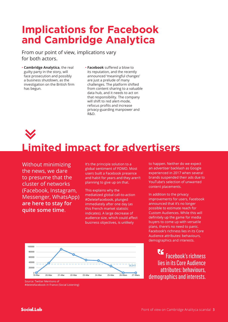## **Implications for Facebook and Cambridge Analytica**

From our point of view, implications vary for both actors.

- **Cambridge Analytica**, the real guilty party in the story, will face prosecution and possibly a business shutdown, as the investigation on the British firm has begun.
- **Facebook** suffered a blow to its reputation, and the recently announced 'meaningful changes' are just a prelude of many challenges. The platform shifted from content sharing to a valuable data hub, and it needs to act on that responsibility. The company will shift to red alert-mode, refocus profits and increase privacy-guarding manpower and R&D.

# **Limited impact for advertisers**

Without minimizing the news, we dare to presume that the cluster of networks (Facebook, Instagram, Messenger, WhatsApp) **are here to stay for quite some time**.

It's the principle solution to a global sentiment of FOMO. Most users built a Facebook presence and habit for years and they aren't planning to give up on that.

This explains why the mediatized global call-to-action #DeleteFacebook, plunged immediately after one day (as this French market statistic indicates). A large decrease of audience size, which could affect business objectives, is unlikely



Source: Twitter Mentions of #deletefacebook in France (Social Listening) to happen. Neither do we expect an advertiser backlash as Google experienced in 2017 when several brands suspended their ads due to YouTube's selection of unwanted content placements.

In addition to the privacy improvements for users, Facebook announced that it's no longer possible to estimate reach for Custom Audiences. While this will definitely up the game for media buyers to come up with versatile plans, there's no need to panic. Facebook's richness lies in its Core Audience attributes: behaviours, demographics and interests.

75 Facebook's richness lies in its Core Audience attributes: behaviours,